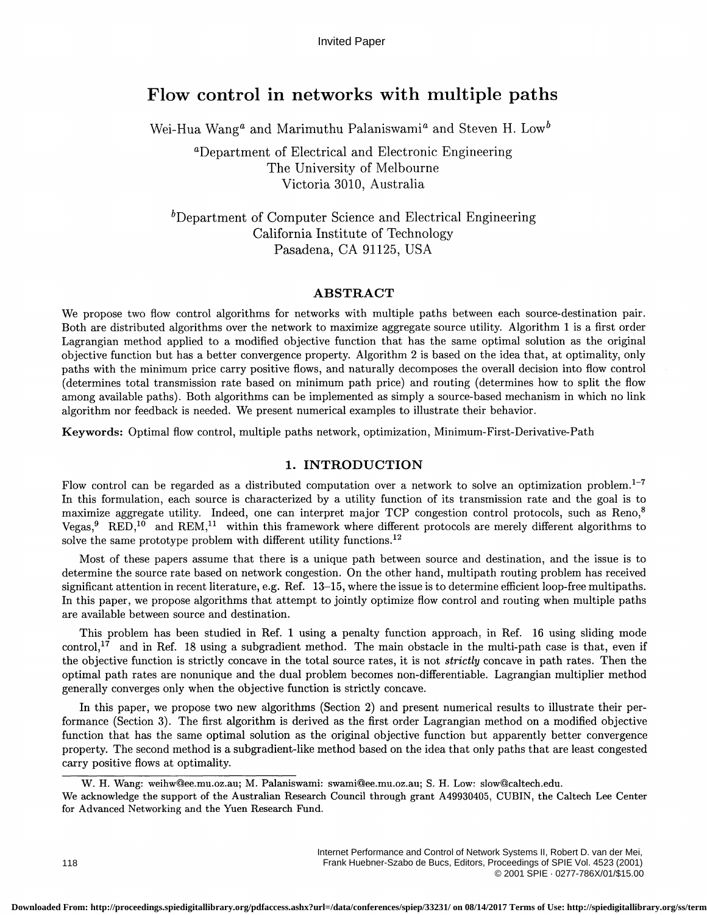# Flow control in networks with multiple paths

Wei-Hua Wang<sup>a</sup> and Marimuthu Palaniswami<sup>a</sup> and Steven H. Low<sup>b</sup>

aDepartment of Electrical and Electronic Engineering The University of Melbourne Victoria 3010, Australia

 $b$ Department of Computer Science and Electrical Engineering California Institute of Technology Pasadena, CA 91125, USA

# ABSTRACT

We propose two flow control algorithms for networks with multiple paths between each source-destination pair. Both are distributed algorithms over the network to maximize aggregate source utility. Algorithm 1 is a first order Lagrangian method applied to a modified objective function that has the same optimal solution as the original objective function but has a better convergence property. Algorithm 2 is based on the idea that, at optimality, only paths with the minimum price carry positive flows, and naturally decomposes the overall decision into flow control ( determines total transmission rate based on minimum path price) and routing (determines how to split the flow among available paths) . Both algorithms can be implemented as simply a source-based mechanism in which no link algorithm nor feedback is needed. We present numerical examples to illustrate their behavior.

Keywords: Optimal flow control, multiple paths network, optimization, Minimum-First-Derivative-Path

# 1. INTRODUCTION

Flow control can be regarded as a distributed computation over a network to solve an optimization problem.<sup>1-7</sup> In this formulation, each source is characterized by a utility function of its transmission rate and the goal is to maximize aggregate utility. Indeed, one can interpret major TCP congestion control protocols, such as Reno Vegas, <sup>9</sup> RED,<sup>10</sup> and REM,<sup>11</sup> within this framework where different protocols are merely different algorithms to solve the same prototype problem with different utility functions.<sup>12</sup>

Most of these papers assume that there is a unique path between source and destination, and the issue is to determine the source rate based on network congestion. On the other hand, multipath routing problem has received significant attention in recent literature, e.g. Ref. 13–15, where the issue is to determine efficient loop-free multipaths. In this paper, we propose algorithms that attempt to jointly optimize flow control and routing when multiple paths are available between source and destination.

This problem has been studied in Ref. 1 using a penalty function approach, in Ref. 16 using sliding mode control,<sup>17</sup> and in Ref. 18 using a subgradient method. The main obstacle in the multi-path case is that, even if the objective function is strictly concave in the total source rates, it is not *strictly* concave in path rates. Then the optimal path rates are nonunique and the dual problem becomes non-differentiable. Lagrangian multiplier method generally converges only when the objective function is strictly concave.

In this paper, we propose two new algorithms (Section 2) and present numerical results to illustrate their performance (Section 3). The first algorithm is derived as the first order Lagrangian method on a modified objective function that has the same optimal solution as the original objective function but apparently better convergence property. The second method is a subgradient-like method based on the idea that only paths that are least congested carry positive flows at optimality.

W. H. Wang: weihw©ee.mu.oz.au; M. Palaniswami: swami©ee.mu.oz.au; S. H. Low: slow@caltech.edu.

We acknowledge the support of the Australian Research Council through grant A49930405, CUBIN, the Caltech Lee Center for Advanced Networking and the Yuen Research Fund.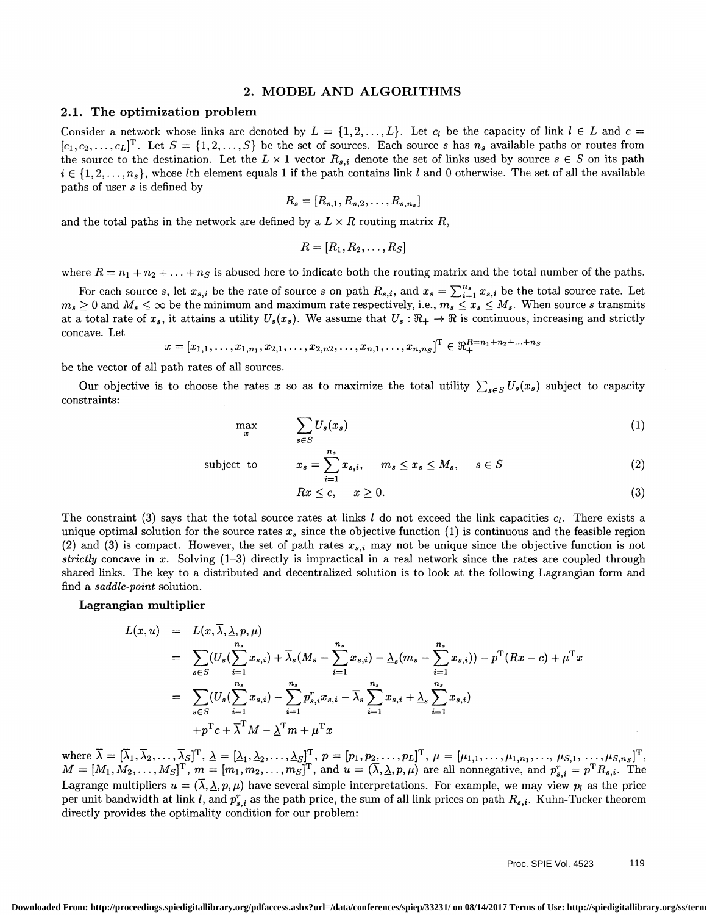#### 2. MODEL AND ALGORITHMS

#### 2.1. The optimization problem

Consider a network whose links are denoted by  $L = \{1, 2, ..., L\}$ . Let  $c_l$  be the capacity of link  $l \in L$  and  $c =$  $[c_1, c_2, \ldots, c_L]^T$ . Let  $S = \{1, 2, \ldots, S\}$  be the set of sources. Each source s has  $n_s$  available paths or routes from the source to the destination. Let the  $L \times 1$  vector  $R_{s,i}$  denote the set of links used by source  $s \in S$  on its path  $i \in \{1, 2, \ldots, n_s\}$ , whose *l*th element equals 1 if the path contains link l and 0 otherwise. The set of all the available paths of user s is defined by

$$
R_s=[R_{s,1},R_{s,2},\ldots,R_{s,n_s}]
$$

and the total paths in the network are defined by a  $L \times R$  routing matrix R,

$$
R=[R_1,R_2,\ldots,R_S]
$$

where  $R = n_1 + n_2 + \ldots + n_S$  is abused here to indicate both the routing matrix and the total number of the paths.

where  $K = n_1 + n_2 + ... + n_S$  is abused here to indicate both the routing matrix and the total number of the paths.<br>For each source s, let  $x_{s,i}$  be the rate of source s on path  $R_{s,i}$ , and  $x_s = \sum_{i=1}^{n_s} x_{s,i}$  be the total s at a total rate of  $x_s$ , it attains a utility  $U_s(x_s)$ . We assume that  $U_s : \mathbb{R}_+ \to \mathbb{R}$  is continuous, increasing and strictly concave. Let

$$
x = [x_{1,1}, \ldots, x_{1,n_1}, x_{2,1}, \ldots, x_{2,n_2}, \ldots, x_{n,1}, \ldots, x_{n,n_S}]^{\mathrm{T}} \in \Re_{+}^{R=n_1+n_2+\ldots+n_S}
$$

be the vector of all path rates of all sources.

Our objective is to choose the rates x so as to maximize the total utility  $\sum_{s\in S}U_s(x_s)$  subject to capacity constraints:

$$
\max_{x} \qquad \sum_{s \in S} U_s(x_s) \tag{1}
$$

subject to 
$$
x_s = \sum_{i=1}^{n_s} x_{s,i}, \quad m_s \le x_s \le M_s, \quad s \in S
$$
 (2)

$$
Rx \le c, \quad x \ge 0. \tag{3}
$$

The constraint (3) says that the total source rates at links l do not exceed the link capacities  $c_l$ . There exists a unique optimal solution for the source rates  $x_s$  since the objective function (1) is continuous and the feasible region (2) and (3) is compact. However, the set of path rates  $x_{s,i}$  may not be unique since the objective function is not strictly concave in x. Solving  $(1-3)$  directly is impractical in a real network since the rates are coupled through shared links. The key to a distributed and decentralized solution is to look at the following Lagrangian form and find a saddle-point solution.

#### Lagrangian multiplier

$$
L(x, u) = L(x, \overline{\lambda}, \underline{\lambda}, p, \mu)
$$
  
\n
$$
= \sum_{s \in S} (U_s(\sum_{i=1}^{n_s} x_{s,i}) + \overline{\lambda}_s(M_s - \sum_{i=1}^{n_s} x_{s,i}) - \underline{\lambda}_s(m_s - \sum_{i=1}^{n_s} x_{s,i})) - p^T(Rx - c) + \mu^T x
$$
  
\n
$$
= \sum_{s \in S} (U_s(\sum_{i=1}^{n_s} x_{s,i}) - \sum_{i=1}^{n_s} p^r_{s,i} x_{s,i} - \overline{\lambda}_s \sum_{i=1}^{n_s} x_{s,i} + \underline{\lambda}_s \sum_{i=1}^{n_s} x_{s,i})
$$
  
\n
$$
+ p^T c + \overline{\lambda}^T M - \underline{\lambda}^T m + \mu^T x
$$

where  $\lambda = [\lambda_1, \lambda_2, ..., \lambda_{S}]^T$ ,  $\Delta = [\Delta_1, \Delta_2, ..., \Delta_{S}]^T$ ,  $p = [p_1, p_2, ..., p_L]^T$ ,  $\mu = [\mu_{1,1}, ..., \mu_{1,n_1}, ..., \mu_{S,1}, ..., \mu_{S,n_S}]^T$ ,<br>  $M = [M_1, M_2, ..., M_S]^T$ ,  $m = [m_1, m_2, ..., m_S]^T$ , and  $u = (\overline{\lambda}, \underline{\lambda}, p, \mu)$  are all nonnegative, and  $p_{s,i}^r = p^T R$ per unit bandwidth at link *l*, and  $p_{s,i}^r$  as the path price, the sum of all link prices on path  $R_{s,i}$ . Kuhn-Tucker theorem directly provides the optimality condition for our problem: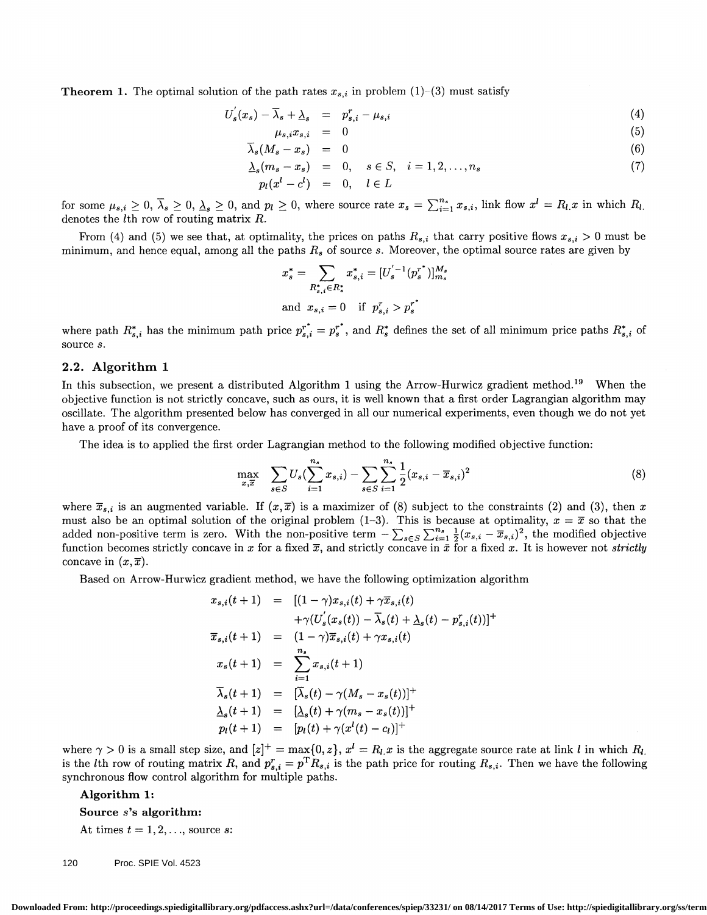**Theorem 1.** The optimal solution of the path rates  $x_{s,i}$  in problem (1)–(3) must satisfy

$$
U_s'(x_s) - \overline{\lambda}_s + \underline{\lambda}_s = p_{s,i}^r - \mu_{s,i} \tag{4}
$$

$$
\mu_{s,i}x_{s,i} = 0 \tag{5}
$$

$$
\overline{\lambda}_s(M_s - x_s) = 0 \tag{6}
$$

$$
\begin{array}{rcl}\n\Delta_s(m_s - x_s) & = & 0, \quad s \in S, \quad i = 1, 2, \dots, n_s \\
p_l(x^l - c^l) & = & 0, \quad l \in L\n\end{array} \tag{7}
$$

 $p_l(x^l - c^l) = 0, \quad l \in L$ <br>for some  $\mu_{s,i} \geq 0, \overline{\lambda}_s \geq 0, \underline{\lambda}_s \geq 0$ , and  $p_l \geq 0$ , where source rate  $x_s = \sum_{i=1}^{n_s} x_{s,i}$ , link flow  $x^l = R_l x$  in which  $R_l$ .<br>denotes the *l*th row of routing matrix R.

From (4) and (5) we see that, at optimality, the prices on paths  $R_{s,i}$  that carry positive flows  $x_{s,i} > 0$  must be minimum, and hence equal, among all the paths  $R_s$  of source s. Moreover, the optimal source rates are given by

$$
x_s^* = \sum_{R_{s,i}^* \in R_s^*} x_{s,i}^* = [U_s^{'-1}(p_s^{r^*})]_{m_s}^{M_s}
$$
  
and  $x_{s,i} = 0$  if  $p_{s,i}^r > p_s^{r^*}$ 

where path  $R_{s,i}^*$  has the minimum path price  $p_{s,i}^{r^*} = p_s^{r^*}$ , and  $R_s^*$  defines the set of all minimum price paths  $R_{s,i}^*$  of source s.

## 2.2. Algorithm 1

In this subsection, we present a distributed Algorithm 1 using the Arrow-Hurwicz gradient method.<sup>19</sup> When the objective function is not strictly concave, such as ours, it is well known that a first order Lagrangian algorithm may oscillate. The algorithm presented below has converged in all our numerical experiments, even though we do not yet have a proof of its convergence.

The idea is to applied the first order Lagrangian method to the following modified objective function:

$$
\max_{x,\overline{x}} \quad \sum_{s \in S} U_s(\sum_{i=1}^{n_s} x_{s,i}) - \sum_{s \in S} \sum_{i=1}^{n_s} \frac{1}{2} (x_{s,i} - \overline{x}_{s,i})^2
$$
 (8)

where  $\bar{x}_{s,i}$  is an augmented variable. If  $(x,\bar{x})$  is a maximizer of (8) subject to the constraints (2) and (3), then x must also be an optimal solution of the original problem (1-3). This is because at optimality,  $x = \bar{x}$  so that the added non-positive term is zero. With the non-positive term  $-\sum_{s\in S}\sum_{i=1}^{n_s}\frac{1}{2}(x_{s,i}-\overline{x}_{s,i})^2$ , the modified objective function becomes strictly concave in x for a fixed  $\bar{x}$ , and strictly concave in  $\bar{x}$  for a fixed x. It is however not *strictly* concave in  $(x,\overline{x})$ .

Based on Arrow-Hurwicz gradient method, we have the following optimization algorithm

$$
x_{s,i}(t+1) = [(1-\gamma)x_{s,i}(t) + \gamma \overline{x}_{s,i}(t) + \gamma(U_s'(x_s(t)) - \overline{\lambda}_s(t) + \underline{\lambda}_s(t) - p_{s,i}^r(t))]^+
$$
  

$$
\overline{x}_{s,i}(t+1) = (1-\gamma)\overline{x}_{s,i}(t) + \gamma x_{s,i}(t) x_s(t+1) = \sum_{i=1}^{n_s} x_{s,i}(t+1) \overline{\lambda}_s(t+1) = [\overline{\lambda}_s(t) - \gamma(M_s - x_s(t))]^+
$$
  

$$
\underline{\lambda}_s(t+1) = [\underline{\lambda}_s(t) + \gamma(m_s - x_s(t))]^+
$$
  

$$
p_l(t+1) = [p_l(t) + \gamma(x^l(t) - c_l)]^+
$$

where  $\gamma > 0$  is a small step size, and  $[z]^+ = \max\{0, z\}, x^l = R_l x$  is the aggregate source rate at link  $l$  in which  $R_l$ . is the *l*th row of routing matrix R, and  $p_{s,i}^r = p^T R_{s,i}$  is the path price for routing  $R_{s,i}$ . Then we have the following synchronous flow control algorithm for multiple paths.

# Algorithm 1:

#### Source s's algorithm:

At times  $t = 1, 2, \ldots$ , source s:

120 Proc. SPIE Vol. 4523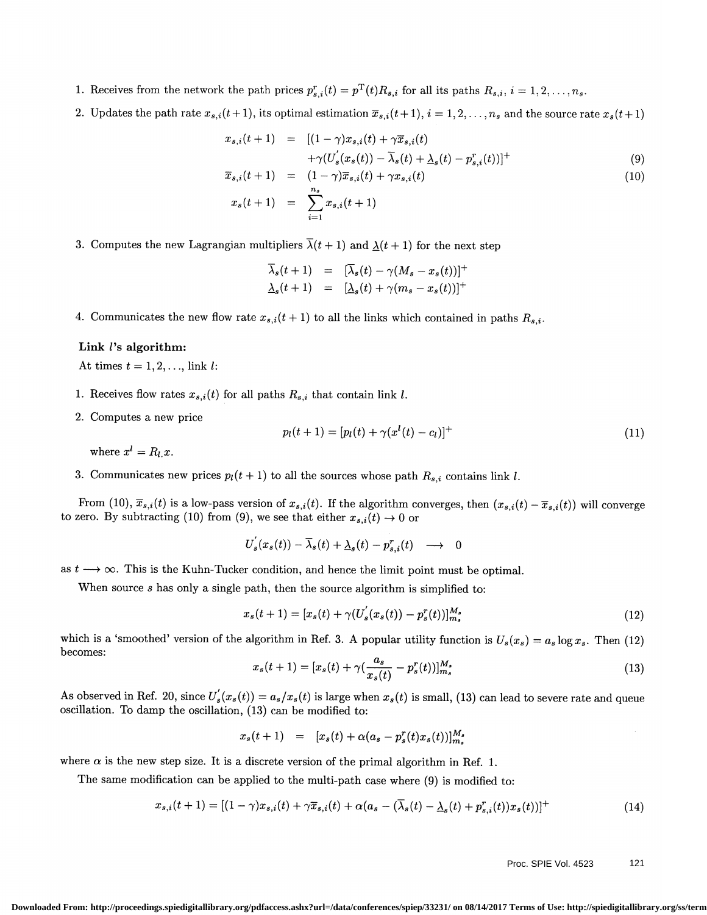- 1. Receives from the network the path prices  $p_{s,i}^r(t) = p^T(t)R_{s,i}$  for all its paths  $R_{s,i}$ ,  $i = 1, 2, ..., n_s$ .
- 2. Updates the path rate  $x_{s,i}(t + 1)$ , its optimal estimation  $\overline{x}_{s,i}(t + 1), i = 1, 2, \ldots, n_s$  and the source rate  $x_s(t + 1)$

$$
x_{s,i}(t+1) = [(1-\gamma)x_{s,i}(t) + \gamma \overline{x}_{s,i}(t) + \gamma (\overline{U}'_s(x_s(t)) - \overline{\lambda}_s(t) + \underline{\lambda}_s(t) - p_{s,i}^r(t))]^+\n\n\overline{x}_{s,i}(t+1) = (1-\gamma)\overline{x}_{s,i}(t) + \gamma x_{s,i}(t)
$$
\n(10)

$$
x_s(t+1) = \sum_{i=1}^{n_s} x_{s,i}(t+1)
$$

3. Computes the new Lagrangian multipliers  $\overline{\lambda}(t + 1)$  and  $\underline{\lambda}(t + 1)$  for the next step

$$
\overline{\lambda}_s(t+1) = [\overline{\lambda}_s(t) - \gamma(M_s - x_s(t))]^+\
$$
  

$$
\underline{\lambda}_s(t+1) = [\underline{\lambda}_s(t) + \gamma(m_s - x_s(t))]^+\
$$

4. Communicates the new flow rate  $x_{s,i}(t + 1)$  to all the links which contained in paths  $R_{s,i}$ .

# Link  $l$ 's algorithm:

At times  $t = 1, 2, \ldots$ , link l:

- 1. Receives flow rates  $x_{s,i}(t)$  for all paths  $R_{s,i}$  that contain link l.
- 2. Computes a new price

$$
p_l(t+1) = [p_l(t) + \gamma(x^l(t) - c_l)]^+(1)
$$

where  $x^l = R_l x$ .

3. Communicates new prices  $p_l(t + 1)$  to all the sources whose path  $R_{s,i}$  contains link l.

From (10),  $\overline{x}_{s,i}(t)$  is a low-pass version of  $x_{s,i}(t)$ . If the algorithm converges, then  $(x_{s,i}(t) - \overline{x}_{s,i}(t))$  will converge to zero. By subtracting (10) from (9), we see that either  $x_{s,i}(t) \to 0$  or

$$
U_s^{'}(x_s(t)) - \overline{\lambda}_s(t) + \underline{\lambda}_s(t) - p_{s,i}^r(t) \longrightarrow 0
$$

as  $t \longrightarrow \infty$ . This is the Kuhn-Tucker condition, and hence the limit point must be optimal.

When source  $s$  has only a single path, then the source algorithm is simplified to:

$$
x_s(t+1) = [x_s(t) + \gamma (U_s'(x_s(t)) - p_s''(t))]_{m_s}^{M_s}
$$
\n(12)

which is a 'smoothed' version of the algorithm in Ref. 3. A popular utility function is  $U_s(x_s) = a_s \log x_s$ . Then (12) becomes:

$$
x_s(t+1) = [x_s(t) + \gamma(\frac{a_s}{x_s(t)} - p_s^r(t))]_{m_s}^{M_s}
$$
\n(13)

As observed in Ref. 20, since  $U_s'(x_s(t)) = a_s/x_s(t)$  is large when  $x_s(t)$  is small, (13) can lead to severe rate and queue oscillation. To damp the oscillation, (13) can be modified to:

$$
x_s(t+1) = [x_s(t) + \alpha(a_s - p_s^r(t)x_s(t))]_{m_s}^{M_s}
$$

where  $\alpha$  is the new step size. It is a discrete version of the primal algorithm in Ref. 1.

The same modification can be applied to the multi-path case where (9) is modified to:

$$
x_{s,i}(t+1) = [(1-\gamma)x_{s,i}(t) + \gamma \overline{x}_{s,i}(t) + \alpha(a_s - (\overline{\lambda}_s(t) - \underline{\lambda}_s(t) + p_{s,i}^r(t))x_s(t))]^+
$$
(14)

## Proc. SPIE Vol. 4523 121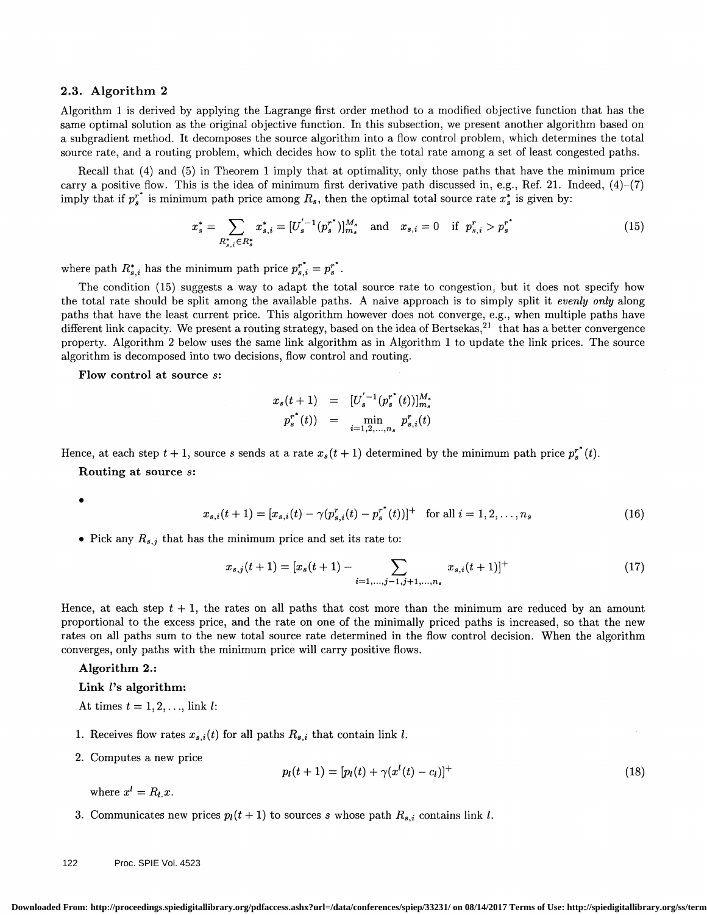#### 2.3. Algorithm 2

Algorithm 1 is derived by applying the Lagrange first order method to a modified objective function that has the same optimal solution as the original objective function. In this subsection, we present another algorithm based on a subgradient method. It decomposes the source algorithm into a flow control problem, which determines the total source rate, and a routing problem, which decides how to split the total rate among a set of least congested paths.

Recall that (4) and (5) in Theorem 1 imply that at optimality, only those paths that have the minimum price carry a positive flow. This is the idea of minimum first derivative path discussed in, e.g., Ref. 21. Indeed,  $(4)-(7)$ imply that if  $p_s^*$  is minimum path price among  $R_s$ , then the optimal total source rate  $x_s^*$  is given by:

$$
x_s^* = \sum_{R_{s,i}^* \in R_s^*} x_{s,i}^* = [U_s^{'-1}(p_s^{r^*})]_{m_s}^{M_s} \text{ and } x_{s,i} = 0 \text{ if } p_{s,i}^r > p_s^{r^*}
$$
(15)

where path  $R_{s,i}^*$  has the minimum path price  $p_{s,i}^{*} = p_s^{*}$ .

The condition (15) suggests a way to adapt the total source rate to congestion, but it does not specify how the total rate should be split among the available paths. A naive approach is to simply split it *evenly only* along paths that have the least current price. This algorithm however does not converge, e.g. , when multiple paths have different link capacity. We present a routing strategy, based on the idea of Bertsekas, $^{21}$  that has a better convergence property. Algorithm 2 below uses the same link algorithm as in Algorithm I to update the link prices. The source algorithm is decomposed into two decisions, flow control and routing.

Flow control at source s:

$$
x_s(t+1) = [U_s^{'-1}(p_s^{r^*}(t))]_{m_s}^{M_s}
$$
  

$$
p_s^{r^*}(t) = \min_{i=1,2,...,n_s} p_{s,i}^{r}(t)
$$

Hence, at each step  $t + 1$ , source s sends at a rate  $x_s(t + 1)$  determined by the minimum path price  $p_s^{r^*}(t)$ .

Routing at source s:

$$
x_{s,i}(t+1) = [x_{s,i}(t) - \gamma(p_{s,i}^r(t) - p_s^{r^*}(t))]^+ \text{ for all } i = 1, 2, ..., n_s
$$
 (16)

• Pick any  $R_{s,j}$  that has the minimum price and set its rate to:

$$
x_{s,j}(t+1) = [x_s(t+1) - \sum_{i=1,\dots,j-1,j+1,\dots,n_s} x_{s,i}(t+1)]^+
$$
(17)

Hence, at each step  $t + 1$ , the rates on all paths that cost more than the minimum are reduced by an amount proportional to the excess price, and the rate on one of the minimally priced paths is increased, so that the new rates on all paths sum to the new total source rate determined in the flow control decision. When the algorithm converges, only paths with the minimum price will carry positive flows.

# Algorithm 2.:

# Link  $l$ 's algorithm:

At times  $t = 1, 2, \ldots$ , link l:

- 1. Receives flow rates  $x_{s,i}(t)$  for all paths  $R_{s,i}$  that contain link l.
- 2. Computes a new price

$$
p_l(t+1) = [p_l(t) + \gamma(x^l(t) - c_l)]^+
$$
\n(18)

where  $x^l = R_l x$ .

3. Communicates new prices  $p_l(t + 1)$  to sources s whose path  $R_{s,i}$  contains link l.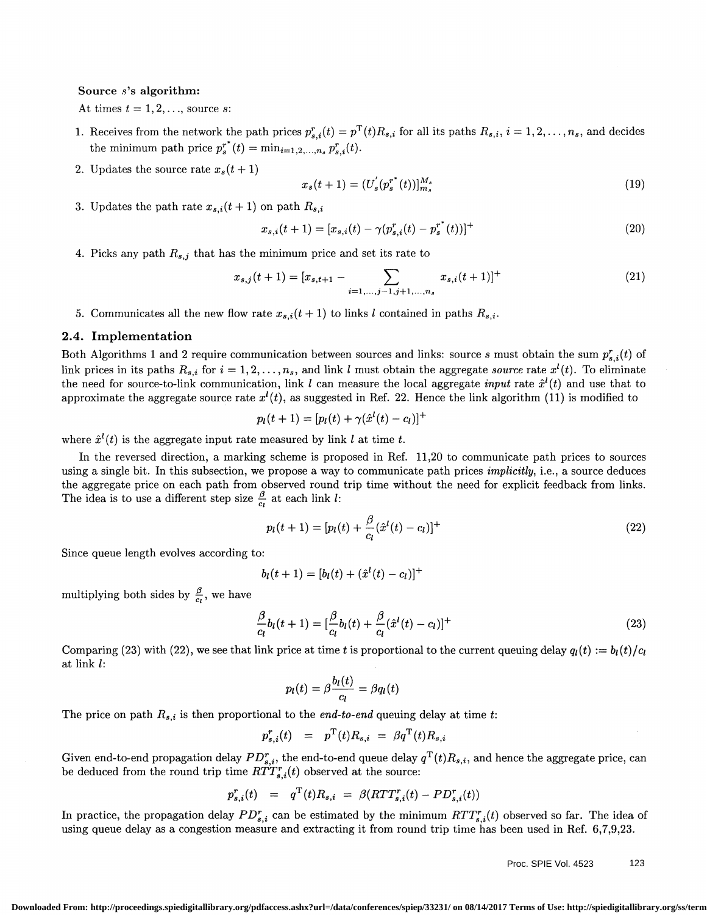#### Source s's algorithm:

At times  $t = 1, 2, \ldots$ , source s:

- 1. Receives from the network the path prices  $p_{s,i}^r(t) = p^T(t)R_{s,i}$  for all its paths  $R_{s,i}$ ,  $i = 1, 2, ..., n_s$ , and decides the minimum path price  $p_s^{r^*}(t) = \min_{i=1,2,\dots,n_s} p_{s,i}^r(t)$ .
- 2. Updates the source rate  $x_s(t + 1)$

$$
x_s(t+1) = (U_s'(p_s^{r^*}(t))]_{m_s}^{M_s}
$$
\n(19)

3. Updates the path rate  $x_{s,i}(t + 1)$  on path  $R_{s,i}$ 

$$
x_{s,i}(t+1) = [x_{s,i}(t) - \gamma(p_{s,i}^r(t) - p_s^{r^*}(t))]^+
$$
\n(20)

4. Picks any path  $R_{s,j}$  that has the minimum price and set its rate to

$$
x_{s,j}(t+1) = [x_{s,t+1} - \sum_{i=1,\dots,j-1,j+1,\dots,n_s} x_{s,i}(t+1)]^+
$$
(21)

5. Communicates all the new flow rate  $x_{s,i}(t + 1)$  to links l contained in paths  $R_{s,i}$ .

# 2.4. Implementation

Both Algorithms 1 and 2 require communication between sources and links: source s must obtain the sum  $p_{s,i}^r(t)$  of link prices in its paths  $R_{s,i}$  for  $i = 1, 2, \ldots, n_s$ , and link l must obtain the aggregate source rate  $x^l(t)$ . To eliminate the need for source-to-link communication, link l can measure the local aggregate *input* rate  $\hat{x}^{l}(t)$  and use that to approximate the aggregate source rate  $x^{(i)}(t)$ , as suggested in Ref. 22. Hence the link algorithm (11) is modified to

$$
p_l(t+1)=[p_l(t)+\gamma(\hat{x}^l(t)-c_l)]^+
$$

where  $\hat{x}^{l}(t)$  is the aggregate input rate measured by link l at time t.

In the reversed direction, a marking scheme is proposed in Ref. 11,20 to communicate path prices to sources using a single bit. In this subsection, we propose a way to communicate path prices *implicitly*, i.e., a source deduces the aggregate price on each path from observed round trip time without the need for explicit feedback from links. The idea is to use a different step size  $\frac{\beta}{c}$  at each link l:

$$
p_l(t+1) = [p_l(t) + \frac{\beta}{c_l}(\hat{x}^l(t) - c_l)]^+
$$
\n(22)

Since queue length evolves according to:

$$
b_l(t+1) = [b_l(t) + (\hat{x}^l(t) - c_l)]^+
$$

multiplying both sides by  $\frac{\beta}{c_i}$ , we have

$$
\frac{\beta}{c_l}b_l(t+1) = \left[\frac{\beta}{c_l}b_l(t) + \frac{\beta}{c_l}(\hat{x}^l(t) - c_l)\right]^+(23)
$$

Comparing (23) with (22), we see that link price at time t is proportional to the current queuing delay  $q_l(t) := b_l(t)/c_l$  at link l:

$$
p_l(t) = \beta \frac{b_l(t)}{c_l} = \beta q_l(t)
$$

The price on path  $R_{s,i}$  is then proportional to the *end-to-end* queuing delay at time t:

$$
p_{s,i}^r(t) = p^{\mathrm{T}}(t)R_{s,i} = \beta q^{\mathrm{T}}(t)R_{s,i}
$$

Given end-to-end propagation delay  $PD_{s,i}^r$ , the end-to-end queue delay  $q^T(t)R_{s,i}$ , and hence the aggregate price, can be deduced from the round trip time  $RTT_{s,i}^r(t)$  observed at the source:

$$
p_{s,i}^r(t) = q^{\mathrm{T}}(t)R_{s,i} = \beta(RTT_{s,i}^r(t) - PD_{s,i}^r(t))
$$

In practice, the propagation delay  $PD_{s,i}^r$  can be estimated by the minimum  $RTT_{s,i}^r(t)$  observed so far. The idea of using queue delay as a congestion measure and extracting it from round trip time has been used in Ref. 6,7,9,23.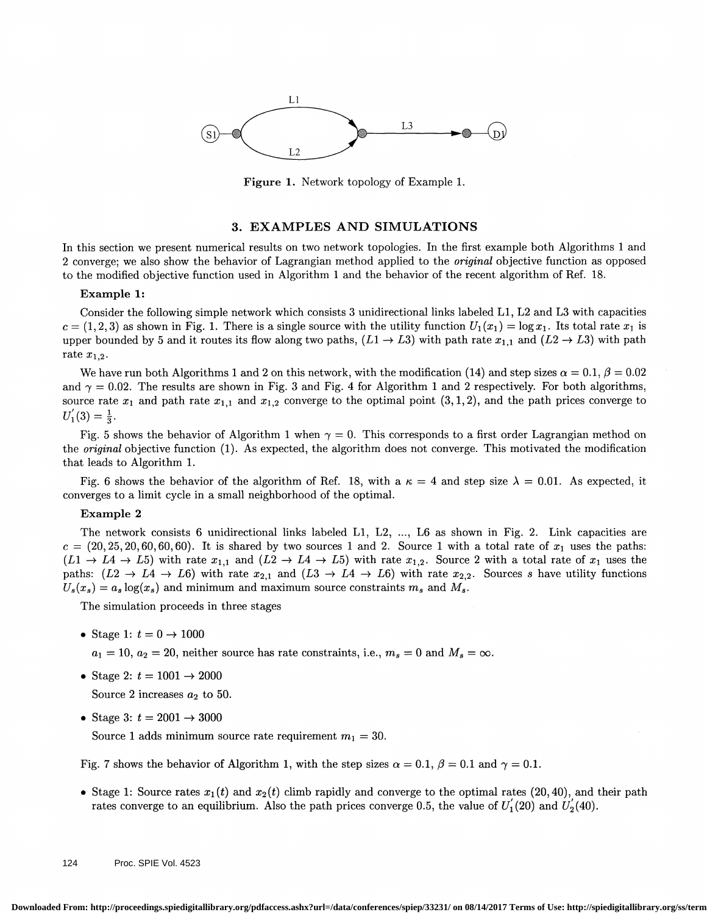

Figure 1. Network topology of Example 1.

#### 3. EXAMPLES AND SIMULATIONS

In this section we present numerical results on two network topologies. In the first example both Algorithms 1 and 2 converge; we also show the behavior of Lagrangian method applied to the original objective function as opposed to the modified objective function used in Algorithm 1 and the behavior of the recent algorithm of Ref. 18.

#### Example 1:

Consider the following simple network which consists 3 unidirectional links labeled Li, L2 and L3 with capacities  $c = (1, 2, 3)$  as shown in Fig. 1. There is a single source with the utility function  $U_1(x_1) = \log x_1$ . Its total rate  $x_1$  is upper bounded by 5 and it routes its flow along two paths,  $(L1 \rightarrow L3)$  with path rate  $x_{1,1}$  and  $(L2 \rightarrow L3)$  with path rate  $x_{1,2}$ .

We have run both Algorithms 1 and 2 on this network, with the modification (14) and step sizes  $\alpha = 0.1$ ,  $\beta = 0.02$ and  $\gamma = 0.02$ . The results are shown in Fig. 3 and Fig. 4 for Algorithm 1 and 2 respectively. For both algorithms, source rate  $x_1$  and path rate  $x_{1,1}$  and  $x_{1,2}$  converge to the optimal point  $(3,1,2)$ , and the path prices converge to  $U_1(3)=\frac{1}{3}.$ 

Fig. 5 shows the behavior of Algorithm 1 when  $\gamma = 0$ . This corresponds to a first order Lagrangian method on the original objective function (1). As expected, the algorithm does not converge. This motivated the modification that leads to Algorithm 1.

Fig. 6 shows the behavior of the algorithm of Ref. 18, with a  $\kappa = 4$  and step size  $\lambda = 0.01$ . As expected, it converges to a limit cycle in a small neighborhood of the optimal.

# Example 2

The network consists 6 unidirectional links labeled L1, L2, ..., L6 as shown in Fig. 2. Link capacities are  $c = (20, 25, 20, 60, 60, 60)$ . It is shared by two sources 1 and 2. Source 1 with a total rate of  $x_1$  uses the paths:  $(L1 \rightarrow L4 \rightarrow L5)$  with rate  $x_{1,1}$  and  $(L2 \rightarrow L4 \rightarrow L5)$  with rate  $x_{1,2}$ . Source 2 with a total rate of  $x_1$  uses the paths:  $(L2 \rightarrow L4 \rightarrow L6)$  with rate  $x_{2,1}$  and  $(L3 \rightarrow L4 \rightarrow L6)$  with rate  $x_{2,2}$ . Sources s have utility functions  $U_s(x_s) = a_s \log(x_s)$  and minimum and maximum source constraints  $m_s$  and  $M_s$ .

The simulation proceeds in three stages

• Stage 1:  $t = 0 \rightarrow 1000$ 

 $a_1 = 10$ ,  $a_2 = 20$ , neither source has rate constraints, i.e.,  $m_s = 0$  and  $M_s = \infty$ .

• Stage 2:  $t = 1001 \rightarrow 2000$ 

Source 2 increases  $a_2$  to 50.

• Stage 3:  $t = 2001 \rightarrow 3000$ 

Source 1 adds minimum source rate requirement  $m_1 = 30$ .

Fig. 7 shows the behavior of Algorithm 1, with the step sizes  $\alpha = 0.1$ ,  $\beta = 0.1$  and  $\gamma = 0.1$ .

• Stage 1: Source rates  $x_1(t)$  and  $x_2(t)$  climb rapidly and converge to the optimal rates (20, 40), and their path rates converge to an equilibrium. Also the path prices converge 0.5, the value of  $U_1(20)$  and  $U_2(40)$ .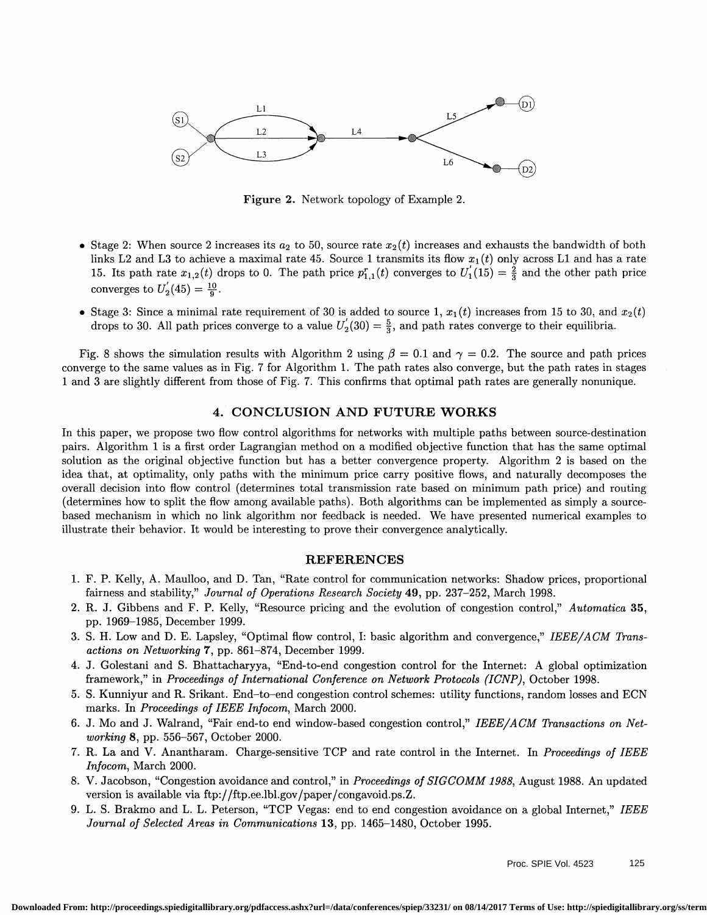

Figure 2. Network topology of Example 2.

- Stage 2: When source 2 increases its  $a_2$  to 50, source rate  $x_2(t)$  increases and exhausts the bandwidth of both links L2 and L3 to achieve a maximal rate 45. Source 1 transmits its flow  $x_1(t)$  only across L1 and has a rate 15. Its path rate  $x_{1,2}(t)$  drops to 0. The path price  $p_{1,1}^r(t)$  converges to  $U_1(15) = \frac{2}{3}$  and the other path price converges to  $U'_{2}(45) = \frac{10}{6}$ .
- Stage 3: Since a minimal rate requirement of 30 is added to source 1,  $x_1(t)$  increases from 15 to 30, and  $x_2(t)$ drops to 30. All path prices converge to a value  $U_2(30) = \frac{5}{3}$ , and path rates converge to their equilibria.

Fig. 8 shows the simulation results with Algorithm 2 using  $\beta = 0.1$  and  $\gamma = 0.2$ . The source and path prices converge to the same values as in Fig. 7 for Algorithm 1. The path rates also converge, but the path rates in stages i and 3 are slightly different from those of Fig. 7. This confirms that optimal path rates are generally nonunique.

# 4. CONCLUSION AND FUTURE WORKS

In this paper, we propose two flow control algorithms for networks with multiple paths between source-destination pairs. Algorithm i is a first order Lagrangian method on a modified objective function that has the same optimal solution as the original objective function but has a better convergence property. Algorithm 2 is based on the idea that, at optimality, only paths with the minimum price carry positive flows, and naturally decomposes the overall decision into flow control (determines total transmission rate based on minimum path price) and routing (determines how to split the flow among available paths) . Both algorithms can be implemented as simply a sourcebased mechanism in which no link algorithm nor feedback is needed. We have presented numerical examples to illustrate their behavior. It would be interesting to prove their convergence analytically.

## REFERENCES

- i. F. P. Kelly, A. Maulloo, and D. Tan, "Rate control for communication networks: Shadow prices, proportional fairness and stability," Journal of Operations Research Society 49, pp. 237-252, March 1998.
- 2. R. J. Gibbens and F. P. Kelly, "Resource pricing and the evolution of congestion control," Automatica 35, pp. i969—i985, December i999.
- 3. S. H. Low and D. E. Lapsley, "Optimal flow control, I: basic algorithm and convergence," IEEE/ACM Transactions on Networking 7, pp. 861-874, December 1999.
- 4. J. Golestani and S. Bhattacharyya, "End-to-end congestion control for the Internet: A global optimization framework," in Proceedings of International Conference on Network Protocols (ICNP), October 1998.
- 5. S. Kunniyur and R. Srikant. End—to—end congestion control schemes: utility functions, random losses and ECN marks. In *Proceedings of IEEE Infocom*, March 2000.
- 6. J. Mo and J. Wairand, "Fair end-to end window-based congestion control," IEEE/ACM Transactions on Networking 8, pp. 556-567, October 2000.
- 7. R. La and V. Anantharam. Charge-sensitive TCP and rate control in the Internet. In Proceedings of IEEE Infocom, March 2000.
- 8. V. Jacobson, "Congestion avoidance and control," in Proceedings of SIGCOMM 1988, August 1988. An updated version is available via ftp://ftp.ee.lbl.gov/paper/congavoid.ps.Z.
- 9. L. S. Brakmo and L. L. Peterson, "TCP Vegas: end to end congestion avoidance on a global Internet," IEEE Journal of Selected Areas in Communications 13, pp. 1465—1480, October 1995.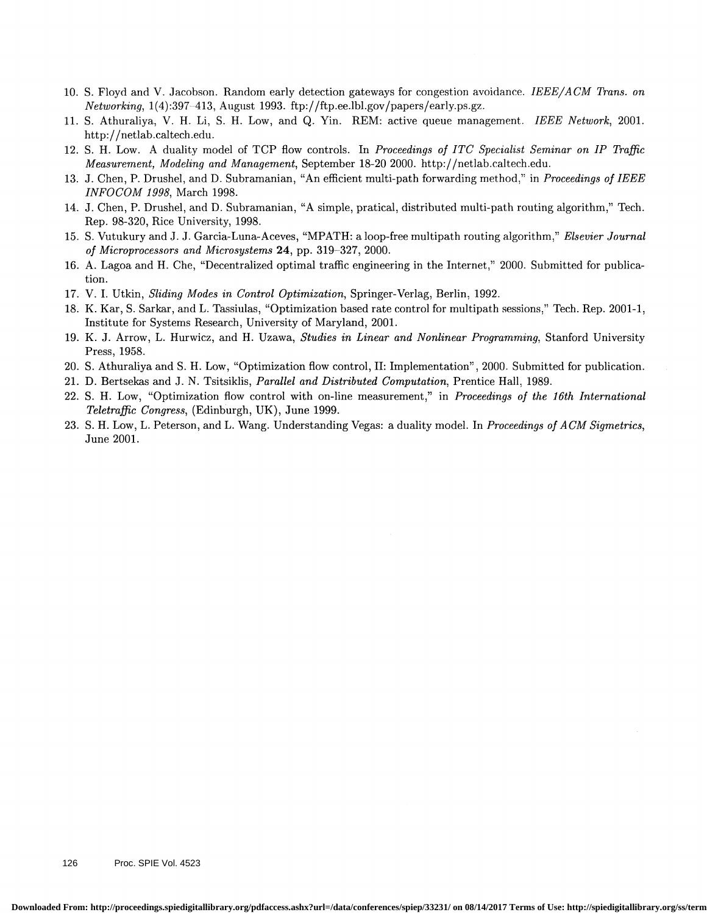- 10. S. Floyd and V. Jacobson. Random early detection gateways for congestion avoidance. IEEE/ACM Trans. on  $Networking, 1(4):397-413, August 1993. \text{ ftp.}/\text{ftp.e.}$ lbl.gov/papers/early.ps.gz.
- 11. S. Athuraliya, V. H. Li, S. H. Low, and Q. Yin. REM: active queue management. IEEE Network, 2001. http://netlab.caltech.edu.
- 12. S. H. Low. A duality model of TCP flow controls. In Proceedings of ITC Specialist Seminar on IP Traffic Measurement, Modeling and Management, September 18-20 2000. http://netlab.caltech.edu.
- 13. J. Chen, P. Drushel, and D. Subramanian, "An efficient multi-path forwarding method," in Proceedings of IEEE INFOCOM 1998, March 1998.
- 14. J. Chen, P. Drushel, and D. Subramanian, "A simple, pratical, distributed multi-path routing algorithm," Tech. Rep. 98-320, Rice University, 1998.
- 15. S. Vutukury and J. J. Garcia-Luna-Aceves, "MPATH: a loop-free multipath routing algorithm," Elsevier Journal of Microprocessors and Microsystems 24, pp. 319—327, 2000.
- 16. A. Lagoa and H. Che, "Decentralized optimal traffic engineering in the Internet," 2000. Submitted for publication.
- 17. V. I. Utkin, Sliding Modes in Control Optimization, Springer-Verlag, Berlin, 1992.
- 18. K. Kar, S. Sarkar, and L. Tassiulas, "Optimization based rate control for multipath sessions," Tech. Rep. 2001-1, Institute for Systems Research, University of Maryland, 2001.
- 19. K. J. Arrow, L. Hurwicz, and H. Uzawa, Studies in Linear and Nonlinear Programming, Stanford University Press, 1958.
- 20. 5. Athuraliya and S. H. Low, "Optimization flow control, II: Implementation" ,2000. Submitted for publication.
- 21. D. Bertsekas and J. N. Tsitsiklis, Parallel and Distributed Computation, Prentice Hall, 1989.
- 22. 5. H. Low, "Optimization flow control with on-line measurement," in Proceedings of the 16th International Teletraffic Congress, (Edinburgh, UK), June 1999.
- 23. S. H. Low, L. Peterson, and L. Wang. Understanding Vegas: a duality model. In Proceedings of ACM Sigmetrics, June 2001.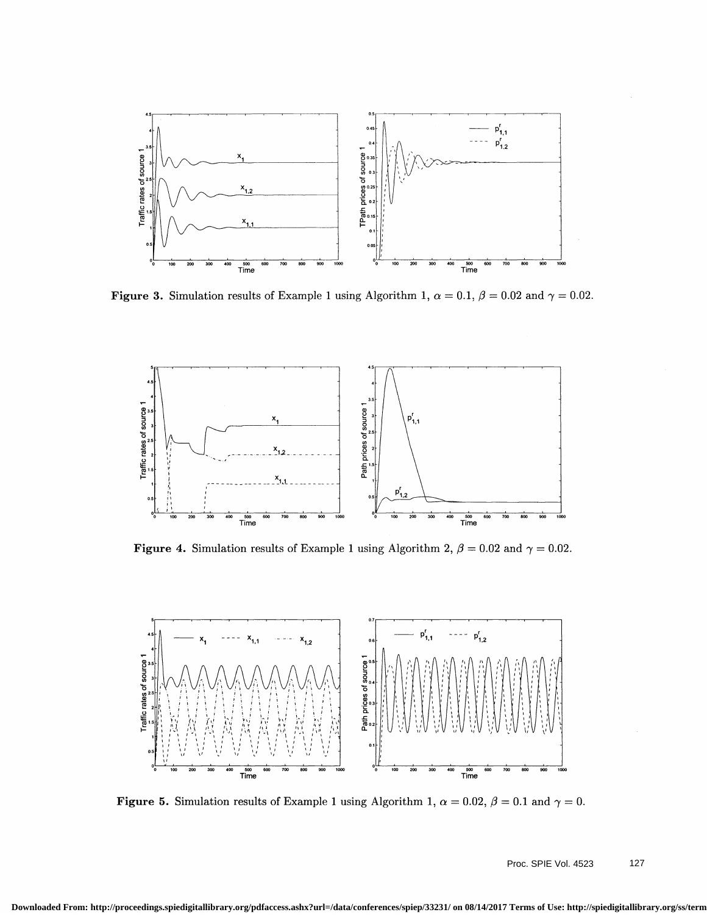

Figure 3. Simulation results of Example 1 using Algorithm 1,  $\alpha = 0.1$ ,  $\beta = 0.02$  and  $\gamma = 0.02$ .



Figure 4. Simulation results of Example 1 using Algorithm 2,  $\beta = 0.02$  and  $\gamma = 0.02$ .



Figure 5. Simulation results of Example 1 using Algorithm 1,  $\alpha = 0.02$ ,  $\beta = 0.1$  and  $\gamma = 0$ .

Proc. SPIE Vol. 4523 127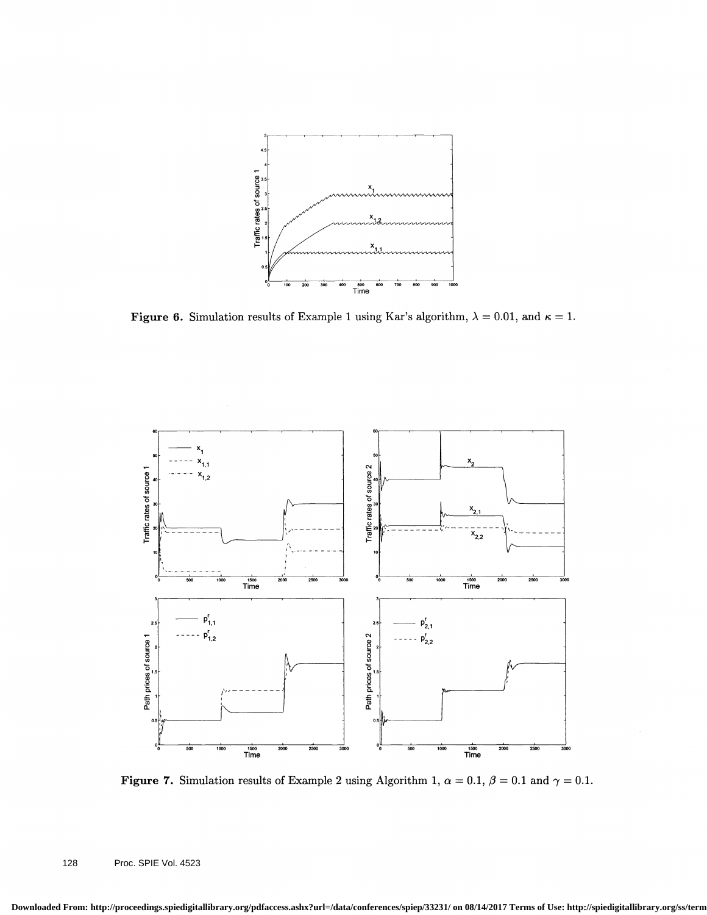

Figure 6. Simulation results of Example 1 using Kar's algorithm,  $\lambda = 0.01$ , and  $\kappa = 1$ .



Figure 7. Simulation results of Example 2 using Algorithm 1,  $\alpha = 0.1$ ,  $\beta = 0.1$  and  $\gamma = 0.1$ .